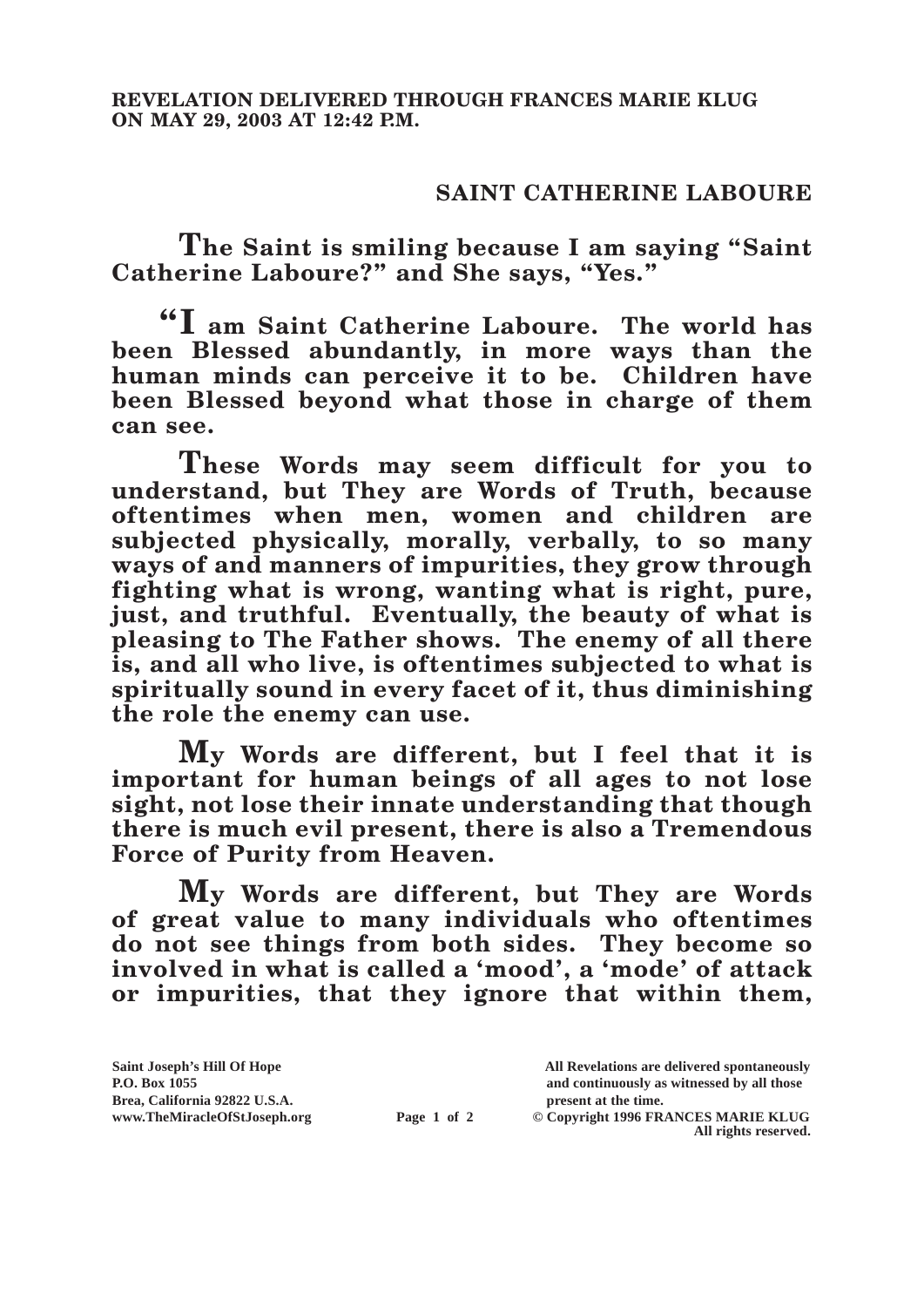## **SAINT CATHERINE LABOURE**

**The Saint is smiling because I am saying "Saint Catherine Laboure?" and She says, "Yes."**

**"I am Saint Catherine Laboure. The world has been Blessed abundantly, in more ways than the human minds can perceive it to be. Children have been Blessed beyond what those in charge of them can see.**

**These Words may seem difficult for you to understand, but They are Words of Truth, because oftentimes when men, women and children are subjected physically, morally, verbally, to so many ways of and manners of impurities, they grow through fighting what is wrong, wanting what is right, pure, just, and truthful. Eventually, the beauty of what is pleasing to The Father shows. The enemy of all there is, and all who live, is oftentimes subjected to what is spiritually sound in every facet of it, thus diminishing the role the enemy can use.**

**My Words are different, but I feel that it is important for human beings of all ages to not lose sight, not lose their innate understanding that though there is much evil present, there is also a Tremendous Force of Purity from Heaven.**

**My Words are different, but They are Words of great value to many individuals who oftentimes do not see things from both sides. They become so involved in what is called a 'mood', a 'mode' of attack or impurities, that they ignore that within them,** 

| Saint Joseph's Hill Of Hope   |             | All Revelations are delivered spontaneously |
|-------------------------------|-------------|---------------------------------------------|
| <b>P.O. Box 1055</b>          |             | and continuously as witnessed by all those  |
| Brea, California 92822 U.S.A. |             | present at the time.                        |
| www.TheMiracleOfStJoseph.org  | Page 1 of 2 | © Copyright 1996 FRANCES MARIE KLUG         |
|                               |             | All rights reserved.                        |